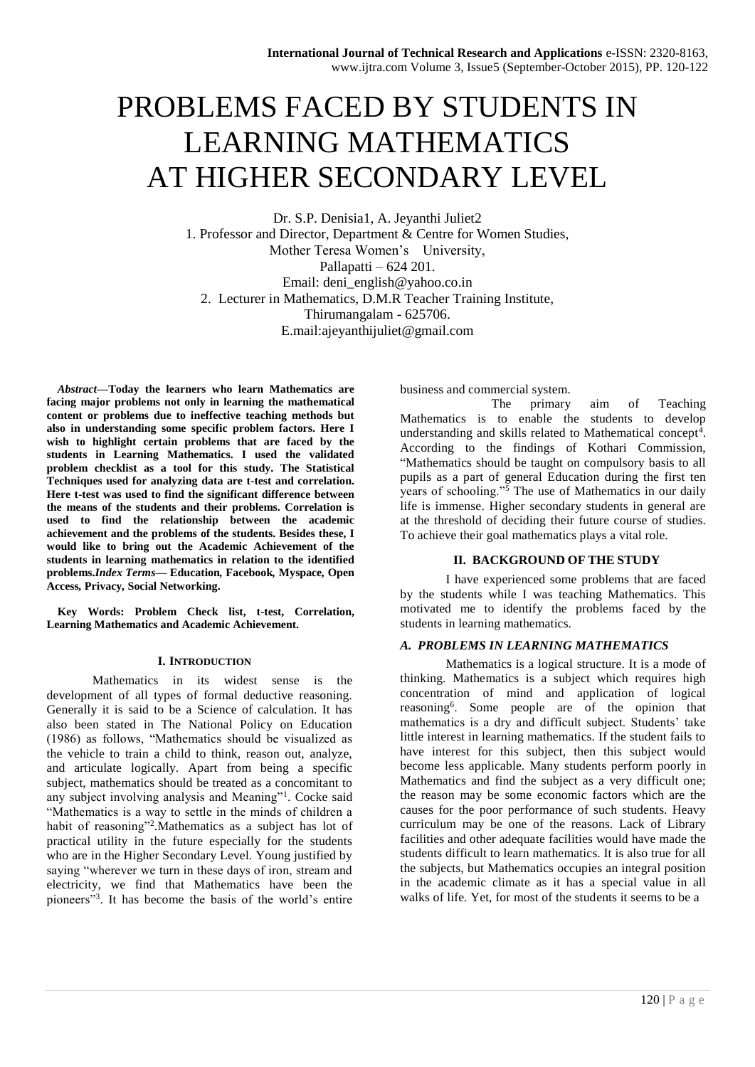# PROBLEMS FACED BY STUDENTS IN LEARNING MATHEMATICS AT HIGHER SECONDARY LEVEL

Dr. S.P. Denisia1, A. Jeyanthi Juliet2 1. Professor and Director, Department & Centre for Women Studies, Mother Teresa Women's University, Pallapatti – 624 201. Email: deni\_english@yahoo.co.in 2. Lecturer in Mathematics, D.M.R Teacher Training Institute, Thirumangalam - 625706. E.mail:ajeyanthijuliet@gmail.com

*Abstract***—Today the learners who learn Mathematics are facing major problems not only in learning the mathematical content or problems due to ineffective teaching methods but also in understanding some specific problem factors. Here I wish to highlight certain problems that are faced by the students in Learning Mathematics. I used the validated problem checklist as a tool for this study. The Statistical Techniques used for analyzing data are t-test and correlation. Here t-test was used to find the significant difference between the means of the students and their problems. Correlation is used to find the relationship between the academic achievement and the problems of the students. Besides these, I would like to bring out the Academic Achievement of the students in learning mathematics in relation to the identified problems.***Index Terms***— Education***,* **Facebook***,* **Myspace***,* **Open Access***,* **Privacy***,* **Social Networking.**

**Key Words: Problem Check list, t-test, Correlation, Learning Mathematics and Academic Achievement.**

#### **I. INTRODUCTION**

Mathematics in its widest sense is the development of all types of formal deductive reasoning. Generally it is said to be a Science of calculation. It has also been stated in The National Policy on Education (1986) as follows, "Mathematics should be visualized as the vehicle to train a child to think, reason out, analyze, and articulate logically. Apart from being a specific subject, mathematics should be treated as a concomitant to any subject involving analysis and Meaning"<sup>1</sup> . Cocke said "Mathematics is a way to settle in the minds of children a habit of reasoning"<sup>2</sup> .Mathematics as a subject has lot of practical utility in the future especially for the students who are in the Higher Secondary Level. Young justified by saying "wherever we turn in these days of iron, stream and electricity, we find that Mathematics have been the pioneers"<sup>3</sup> . It has become the basis of the world's entire business and commercial system.

The primary aim of Teaching Mathematics is to enable the students to develop understanding and skills related to Mathematical concept<sup>4</sup>. According to the findings of Kothari Commission, "Mathematics should be taught on compulsory basis to all pupils as a part of general Education during the first ten years of schooling."<sup>5</sup> The use of Mathematics in our daily life is immense. Higher secondary students in general are at the threshold of deciding their future course of studies. To achieve their goal mathematics plays a vital role.

#### **II. BACKGROUND OF THE STUDY**

I have experienced some problems that are faced by the students while I was teaching Mathematics. This motivated me to identify the problems faced by the students in learning mathematics.

### *A. PROBLEMS IN LEARNING MATHEMATICS*

Mathematics is a logical structure. It is a mode of thinking. Mathematics is a subject which requires high concentration of mind and application of logical reasoning<sup>6</sup> . Some people are of the opinion that mathematics is a dry and difficult subject. Students' take little interest in learning mathematics. If the student fails to have interest for this subject, then this subject would become less applicable. Many students perform poorly in Mathematics and find the subject as a very difficult one; the reason may be some economic factors which are the causes for the poor performance of such students. Heavy curriculum may be one of the reasons. Lack of Library facilities and other adequate facilities would have made the students difficult to learn mathematics. It is also true for all the subjects, but Mathematics occupies an integral position in the academic climate as it has a special value in all walks of life. Yet, for most of the students it seems to be a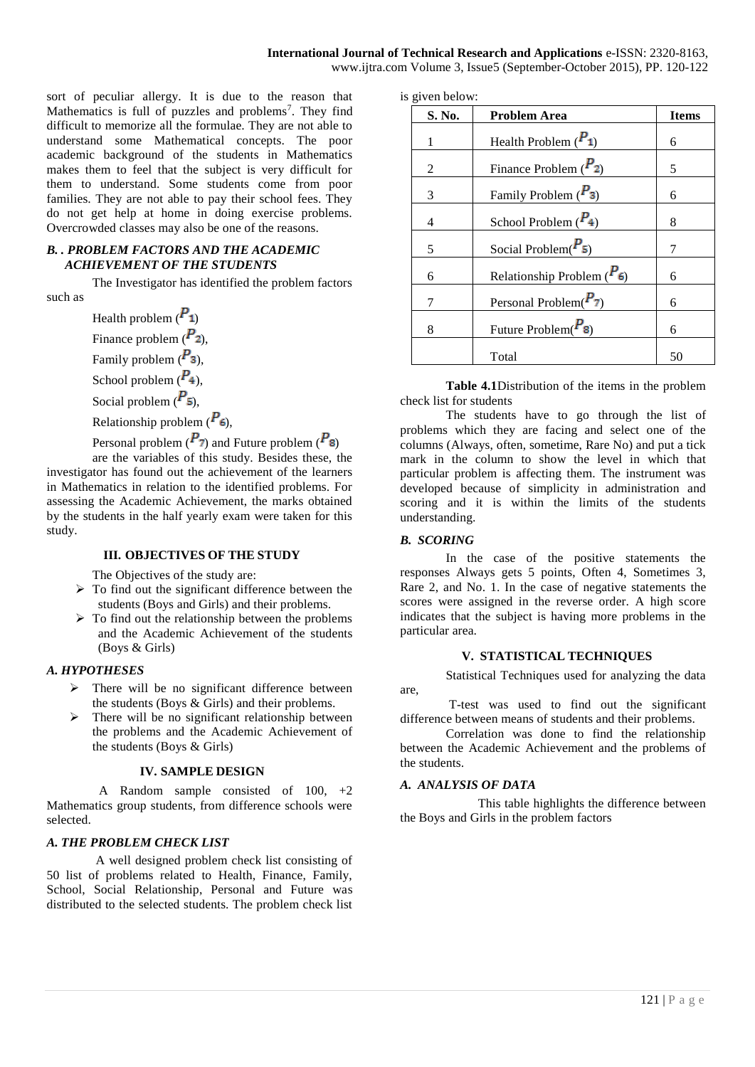sort of peculiar allergy. It is due to the reason that Mathematics is full of puzzles and problems<sup>7</sup>. They find difficult to memorize all the formulae. They are not able to understand some Mathematical concepts. The poor academic background of the students in Mathematics makes them to feel that the subject is very difficult for them to understand. Some students come from poor families. They are not able to pay their school fees. They do not get help at home in doing exercise problems. Overcrowded classes may also be one of the reasons.

#### *B. . PROBLEM FACTORS AND THE ACADEMIC ACHIEVEMENT OF THE STUDENTS*

The Investigator has identified the problem factors such as

> Health problem  $(P_1)$ Finance problem  $(P_2)$ ,

- Family problem  $(P_3)$ .
- School problem  $(P_4)$ ,
- Social problem  $(P_5)$ ,
- Relationship problem  $(P_6)$ ,

Personal problem  $(P_7)$  and Future problem  $(P_8)$ 

are the variables of this study. Besides these, the investigator has found out the achievement of the learners in Mathematics in relation to the identified problems. For assessing the Academic Achievement, the marks obtained by the students in the half yearly exam were taken for this study.

#### **III. OBJECTIVES OF THE STUDY**

The Objectives of the study are:

- $\triangleright$  To find out the significant difference between the students (Boys and Girls) and their problems.
- $\triangleright$  To find out the relationship between the problems and the Academic Achievement of the students (Boys & Girls)

## *A. HYPOTHESES*

- $\triangleright$  There will be no significant difference between the students (Boys & Girls) and their problems.
- There will be no significant relationship between the problems and the Academic Achievement of the students (Boys & Girls)

#### **IV. SAMPLE DESIGN**

A Random sample consisted of 100, +2 Mathematics group students, from difference schools were selected.

## *A. THE PROBLEM CHECK LIST*

A well designed problem check list consisting of 50 list of problems related to Health, Finance, Family, School, Social Relationship, Personal and Future was distributed to the selected students. The problem check list

|  | is given below: |
|--|-----------------|
|  |                 |

| S. No.         | <b>Problem Area</b>                | <b>Items</b> |
|----------------|------------------------------------|--------------|
|                | Health Problem $(P_1)$             | 6            |
| 2              | Finance Problem $\binom{P_2}{P_1}$ | 5            |
| 3              | Family Problem $(P_3)$             | 6            |
| $\overline{4}$ | School Problem $(P_4)$             | 8            |
| 5              | Social Problem( $P_5$ )            | 7            |
| 6              | Relationship Problem $(P_6)$       | 6            |
| 7              | Personal Problem( $P_7$ )          | 6            |
| 8              | Future Problem( $P_8$ )            | 6            |
|                | Total                              | 50           |

**Table 4.1**Distribution of the items in the problem check list for students

The students have to go through the list of problems which they are facing and select one of the columns (Always, often, sometime, Rare No) and put a tick mark in the column to show the level in which that particular problem is affecting them. The instrument was developed because of simplicity in administration and scoring and it is within the limits of the students understanding.

#### *B. SCORING*

are,

In the case of the positive statements the responses Always gets 5 points, Often 4, Sometimes 3, Rare 2, and No. 1. In the case of negative statements the scores were assigned in the reverse order. A high score indicates that the subject is having more problems in the particular area.

#### **V. STATISTICAL TECHNIQUES**

Statistical Techniques used for analyzing the data

T-test was used to find out the significant difference between means of students and their problems.

Correlation was done to find the relationship between the Academic Achievement and the problems of the students.

#### *A. ANALYSIS OF DATA*

 This table highlights the difference between the Boys and Girls in the problem factors